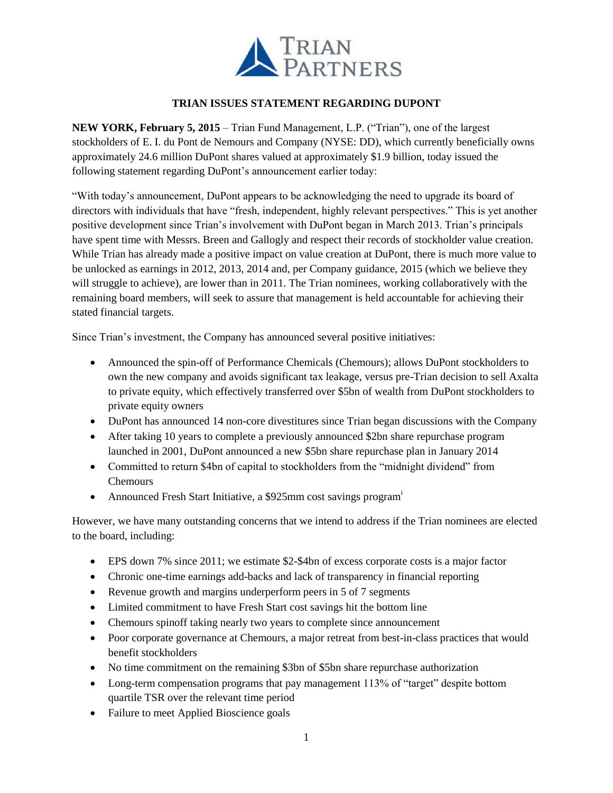

# **TRIAN ISSUES STATEMENT REGARDING DUPONT**

**NEW YORK, February 5, 2015** – Trian Fund Management, L.P. ("Trian"), one of the largest stockholders of E. I. du Pont de Nemours and Company (NYSE: DD), which currently beneficially owns approximately 24.6 million DuPont shares valued at approximately \$1.9 billion, today issued the following statement regarding DuPont's announcement earlier today:

"With today's announcement, DuPont appears to be acknowledging the need to upgrade its board of directors with individuals that have "fresh, independent, highly relevant perspectives." This is yet another positive development since Trian's involvement with DuPont began in March 2013. Trian's principals have spent time with Messrs. Breen and Gallogly and respect their records of stockholder value creation. While Trian has already made a positive impact on value creation at DuPont, there is much more value to be unlocked as earnings in 2012, 2013, 2014 and, per Company guidance, 2015 (which we believe they will struggle to achieve), are lower than in 2011. The Trian nominees, working collaboratively with the remaining board members, will seek to assure that management is held accountable for achieving their stated financial targets.

Since Trian's investment, the Company has announced several positive initiatives:

- Announced the spin-off of Performance Chemicals (Chemours); allows DuPont stockholders to own the new company and avoids significant tax leakage, versus pre-Trian decision to sell Axalta to private equity, which effectively transferred over \$5bn of wealth from DuPont stockholders to private equity owners
- DuPont has announced 14 non-core divestitures since Trian began discussions with the Company
- After taking 10 years to complete a previously announced \$2bn share repurchase program launched in 2001, DuPont announced a new \$5bn share repurchase plan in January 2014
- Committed to return \$4bn of capital to stockholders from the "midnight dividend" from **Chemours**
- Announced Fresh Start Initiative, a \$925mm cost savings program<sup>i</sup>

However, we have many outstanding concerns that we intend to address if the Trian nominees are elected to the board, including:

- EPS down 7% since 2011; we estimate \$2-\$4bn of excess corporate costs is a major factor
- Chronic one-time earnings add-backs and lack of transparency in financial reporting
- Revenue growth and margins underperform peers in 5 of 7 segments
- Limited commitment to have Fresh Start cost savings hit the bottom line
- Chemours spinoff taking nearly two years to complete since announcement
- Poor corporate governance at Chemours, a major retreat from best-in-class practices that would benefit stockholders
- No time commitment on the remaining \$3bn of \$5bn share repurchase authorization
- Long-term compensation programs that pay management 113% of "target" despite bottom quartile TSR over the relevant time period
- Failure to meet Applied Bioscience goals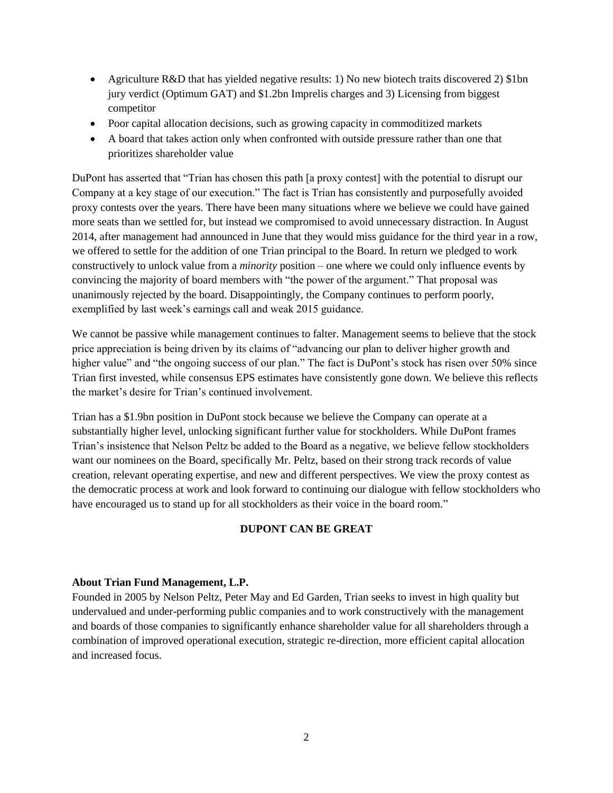- Agriculture R&D that has yielded negative results: 1) No new biotech traits discovered 2) \$1bn jury verdict (Optimum GAT) and \$1.2bn Imprelis charges and 3) Licensing from biggest competitor
- Poor capital allocation decisions, such as growing capacity in commoditized markets
- A board that takes action only when confronted with outside pressure rather than one that prioritizes shareholder value

DuPont has asserted that "Trian has chosen this path [a proxy contest] with the potential to disrupt our Company at a key stage of our execution." The fact is Trian has consistently and purposefully avoided proxy contests over the years. There have been many situations where we believe we could have gained more seats than we settled for, but instead we compromised to avoid unnecessary distraction. In August 2014, after management had announced in June that they would miss guidance for the third year in a row, we offered to settle for the addition of one Trian principal to the Board. In return we pledged to work constructively to unlock value from a *minority* position – one where we could only influence events by convincing the majority of board members with "the power of the argument." That proposal was unanimously rejected by the board. Disappointingly, the Company continues to perform poorly, exemplified by last week's earnings call and weak 2015 guidance.

We cannot be passive while management continues to falter. Management seems to believe that the stock price appreciation is being driven by its claims of "advancing our plan to deliver higher growth and higher value" and "the ongoing success of our plan." The fact is DuPont's stock has risen over 50% since Trian first invested, while consensus EPS estimates have consistently gone down. We believe this reflects the market's desire for Trian's continued involvement.

Trian has a \$1.9bn position in DuPont stock because we believe the Company can operate at a substantially higher level, unlocking significant further value for stockholders. While DuPont frames Trian's insistence that Nelson Peltz be added to the Board as a negative, we believe fellow stockholders want our nominees on the Board, specifically Mr. Peltz, based on their strong track records of value creation, relevant operating expertise, and new and different perspectives. We view the proxy contest as the democratic process at work and look forward to continuing our dialogue with fellow stockholders who have encouraged us to stand up for all stockholders as their voice in the board room."

# **DUPONT CAN BE GREAT**

## **About Trian Fund Management, L.P.**

Founded in 2005 by Nelson Peltz, Peter May and Ed Garden, Trian seeks to invest in high quality but undervalued and under-performing public companies and to work constructively with the management and boards of those companies to significantly enhance shareholder value for all shareholders through a combination of improved operational execution, strategic re-direction, more efficient capital allocation and increased focus.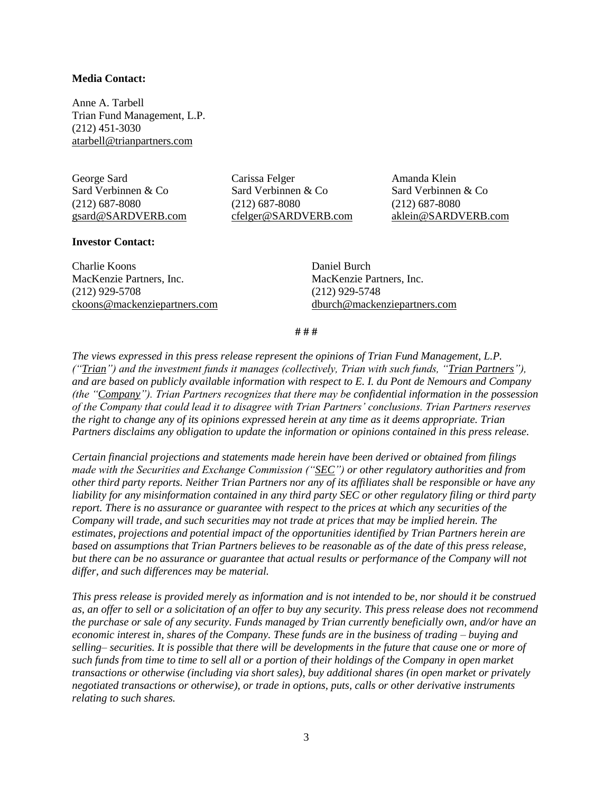#### **Media Contact:**

Anne A. Tarbell Trian Fund Management, L.P. (212) 451-3030 [atarbell@trianpartners.com](mailto:atarbell@trianpartners.com)

George Sard Sard Verbinnen & Co (212) 687-8080 [gsard@SARDVERB.com](mailto:GSard@SARDVERB.com) Carissa Felger Sard Verbinnen & Co (212) 687-8080 [cfelger@SARDVERB.com](mailto:cfelger@SARDVERB.com) Amanda Klein Sard Verbinnen & Co (212) 687-8080 [aklein@SARDVERB.com](mailto:aklein@SARDVERB.com)

#### **Investor Contact:**

Charlie Koons MacKenzie Partners, Inc. (212) 929-5708 [ckoons@mackenziepartners.com](mailto:ckoons@mackenziepartners.com)

Daniel Burch MacKenzie Partners, Inc. (212) 929-5748 [dburch@mackenziepartners.com](mailto:dburch@mackenziepartners.com)

### **# # #**

*The views expressed in this press release represent the opinions of Trian Fund Management, L.P. ("Trian") and the investment funds it manages (collectively, Trian with such funds, "Trian Partners"), and are based on publicly available information with respect to E. I. du Pont de Nemours and Company (the "Company"). Trian Partners recognizes that there may be confidential information in the possession of the Company that could lead it to disagree with Trian Partners' conclusions. Trian Partners reserves the right to change any of its opinions expressed herein at any time as it deems appropriate. Trian Partners disclaims any obligation to update the information or opinions contained in this press release.*

*Certain financial projections and statements made herein have been derived or obtained from filings made with the Securities and Exchange Commission ("SEC") or other regulatory authorities and from other third party reports. Neither Trian Partners nor any of its affiliates shall be responsible or have any liability for any misinformation contained in any third party SEC or other regulatory filing or third party report. There is no assurance or guarantee with respect to the prices at which any securities of the Company will trade, and such securities may not trade at prices that may be implied herein. The estimates, projections and potential impact of the opportunities identified by Trian Partners herein are based on assumptions that Trian Partners believes to be reasonable as of the date of this press release, but there can be no assurance or guarantee that actual results or performance of the Company will not differ, and such differences may be material.*

*This press release is provided merely as information and is not intended to be, nor should it be construed as, an offer to sell or a solicitation of an offer to buy any security. This press release does not recommend the purchase or sale of any security. Funds managed by Trian currently beneficially own, and/or have an economic interest in, shares of the Company. These funds are in the business of trading – buying and selling– securities. It is possible that there will be developments in the future that cause one or more of such funds from time to time to sell all or a portion of their holdings of the Company in open market transactions or otherwise (including via short sales), buy additional shares (in open market or privately negotiated transactions or otherwise), or trade in options, puts, calls or other derivative instruments relating to such shares.*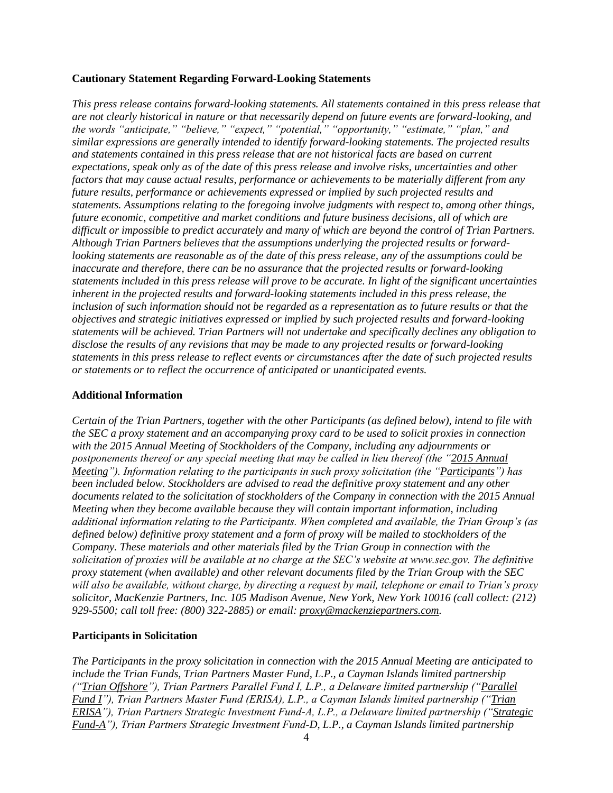### **Cautionary Statement Regarding Forward-Looking Statements**

*This press release contains forward-looking statements. All statements contained in this press release that are not clearly historical in nature or that necessarily depend on future events are forward-looking, and the words "anticipate," "believe," "expect," "potential," "opportunity," "estimate," "plan," and similar expressions are generally intended to identify forward-looking statements. The projected results and statements contained in this press release that are not historical facts are based on current expectations, speak only as of the date of this press release and involve risks, uncertainties and other factors that may cause actual results, performance or achievements to be materially different from any future results, performance or achievements expressed or implied by such projected results and statements. Assumptions relating to the foregoing involve judgments with respect to, among other things, future economic, competitive and market conditions and future business decisions, all of which are difficult or impossible to predict accurately and many of which are beyond the control of Trian Partners. Although Trian Partners believes that the assumptions underlying the projected results or forwardlooking statements are reasonable as of the date of this press release, any of the assumptions could be inaccurate and therefore, there can be no assurance that the projected results or forward-looking statements included in this press release will prove to be accurate. In light of the significant uncertainties inherent in the projected results and forward-looking statements included in this press release, the inclusion of such information should not be regarded as a representation as to future results or that the objectives and strategic initiatives expressed or implied by such projected results and forward-looking statements will be achieved. Trian Partners will not undertake and specifically declines any obligation to disclose the results of any revisions that may be made to any projected results or forward-looking statements in this press release to reflect events or circumstances after the date of such projected results or statements or to reflect the occurrence of anticipated or unanticipated events.*

### **Additional Information**

*Certain of the Trian Partners, together with the other Participants (as defined below), intend to file with the SEC a proxy statement and an accompanying proxy card to be used to solicit proxies in connection with the 2015 Annual Meeting of Stockholders of the Company, including any adjournments or postponements thereof or any special meeting that may be called in lieu thereof (the "2015 Annual Meeting"). Information relating to the participants in such proxy solicitation (the "Participants") has been included below. Stockholders are advised to read the definitive proxy statement and any other documents related to the solicitation of stockholders of the Company in connection with the 2015 Annual Meeting when they become available because they will contain important information, including additional information relating to the Participants. When completed and available, the Trian Group's (as defined below) definitive proxy statement and a form of proxy will be mailed to stockholders of the Company. These materials and other materials filed by the Trian Group in connection with the solicitation of proxies will be available at no charge at the SEC's website at www.sec.gov. The definitive proxy statement (when available) and other relevant documents filed by the Trian Group with the SEC will also be available, without charge, by directing a request by mail, telephone or email to Trian's proxy solicitor, MacKenzie Partners, Inc. 105 Madison Avenue, New York, New York 10016 (call collect: (212) 929-5500; call toll free: (800) 322-2885) or email: proxy@mackenziepartners.com.*

## **Participants in Solicitation**

*The Participants in the proxy solicitation in connection with the 2015 Annual Meeting are anticipated to include the Trian Funds, Trian Partners Master Fund, L.P., a Cayman Islands limited partnership ("Trian Offshore"), Trian Partners Parallel Fund I, L.P., a Delaware limited partnership ("Parallel Fund I"), Trian Partners Master Fund (ERISA), L.P., a Cayman Islands limited partnership ("Trian ERISA"), Trian Partners Strategic Investment Fund-A, L.P., a Delaware limited partnership ("Strategic Fund-A"), Trian Partners Strategic Investment Fund-D, L.P., a Cayman Islands limited partnership*